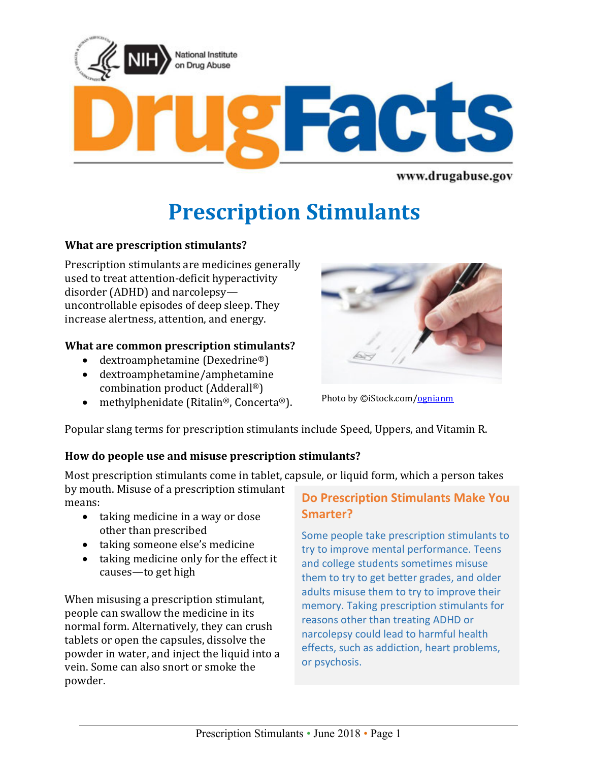

www.drugabuse.gov

# **Prescription Stimulants**

# **What are prescription stimulants?**

Prescription stimulants are medicines generally used to treat attention-deficit hyperactivity disorder (ADHD) and narcolepsy uncontrollable episodes of deep sleep. They increase alertness, attention, and energy.

#### **What are common prescription stimulants?**

- dextroamphetamine (Dexedrine®)
- dextroamphetamine/amphetamine combination product (Adderall®)
- methylphenidate (Ritalin®, Concerta®).



Photo by ©iStock.com[/ognianm](istockpho.to/2lxt3Kn)

Popular slang terms for prescription stimulants include Speed, Uppers, and Vitamin R.

#### **How do people use and misuse prescription stimulants?**

Most prescription stimulants come in tablet, capsule, or liquid form, which a person takes by mouth. Misuse of a prescription stimulant

means:

- taking medicine in a way or dose other than prescribed
- taking someone else's medicine
- taking medicine only for the effect it causes—to get high

When misusing a prescription stimulant, people can swallow the medicine in its normal form. Alternatively, they can crush tablets or open the capsules, dissolve the powder in water, and inject the liquid into a vein. Some can also snort or smoke the powder.

# **Do Prescription Stimulants Make You Smarter?**

Some people take prescription stimulants to try to improve mental performance. Teens and college students sometimes misuse them to try to get better grades, and older adults misuse them to try to improve their memory. Taking prescription stimulants for reasons other than treating ADHD or narcolepsy could lead to harmful health effects, such as addiction, heart problems, or psychosis.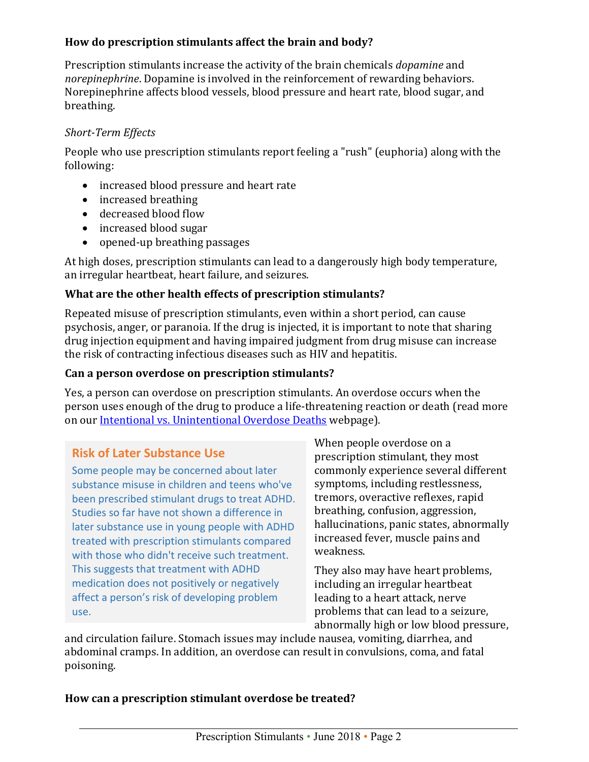## **How do prescription stimulants affect the brain and body?**

Prescription stimulants increase the activity of the brain chemicals *dopamine* and *norepinephrine*. Dopamine is involved in the reinforcement of rewarding behaviors. Norepinephrine affects blood vessels, blood pressure and heart rate, blood sugar, and breathing.

## *Short-Term Effects*

People who use prescription stimulants report feeling a "rush" (euphoria) along with the following:

- increased blood pressure and heart rate
- increased breathing
- decreased blood flow
- increased blood sugar
- opened-up breathing passages

At high doses, prescription stimulants can lead to a dangerously high body temperature, an irregular heartbeat, heart failure, and seizures.

# **What are the other health effects of prescription stimulants?**

Repeated misuse of prescription stimulants, even within a short period, can cause psychosis, anger, or paranoia. If the drug is injected, it is important to note that sharing drug injection equipment and having impaired judgment from drug misuse can increase the risk of contracting infectious diseases such as HIV and hepatitis.

# **Can a person overdose on prescription stimulants?**

Yes, a person can overdose on prescription stimulants. An overdose occurs when the person uses enough of the drug to produce a life-threatening reaction or death (read more on our [Intentional vs. Unintentional Overdose Deaths](https://www.drugabuse.gov/related-topics/treatment/intentional-vs-unintentional-overdose-deaths) webpage).

# **Risk of Later Substance Use**

Some people may be concerned about later substance misuse in children and teens who've been prescribed stimulant drugs to treat ADHD. Studies so far have not shown a difference in later substance use in young people with ADHD treated with prescription stimulants compared with those who didn't receive such treatment. This suggests that treatment with ADHD medication does not positively or negatively affect a person's risk of developing problem use.

When people overdose on a prescription stimulant, they most commonly experience several different symptoms, including restlessness, tremors, overactive reflexes, rapid breathing, confusion, aggression, hallucinations, panic states, abnormally increased fever, muscle pains and weakness.

They also may have heart problems, including an irregular heartbeat leading to a heart attack, nerve problems that can lead to a seizure, abnormally high or low blood pressure,

and circulation failure. Stomach issues may include nausea, vomiting, diarrhea, and abdominal cramps. In addition, an overdose can result in convulsions, coma, and fatal poisoning.

#### **How can a prescription stimulant overdose be treated?**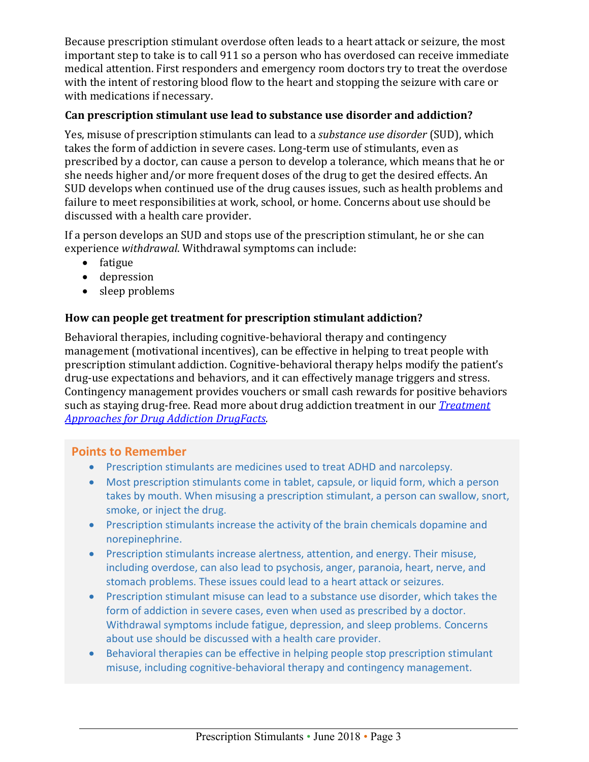Because prescription stimulant overdose often leads to a heart attack or seizure, the most important step to take is to call 911 so a person who has overdosed can receive immediate medical attention. First responders and emergency room doctors try to treat the overdose with the intent of restoring blood flow to the heart and stopping the seizure with care or with medications if necessary.

## **Can prescription stimulant use lead to substance use disorder and addiction?**

Yes, misuse of prescription stimulants can lead to a *substance use disorder* (SUD), which takes the form of addiction in severe cases. Long-term use of stimulants, even as prescribed by a doctor, can cause a person to develop a tolerance, which means that he or she needs higher and/or more frequent doses of the drug to get the desired effects. An SUD develops when continued use of the drug causes issues, such as health problems and failure to meet responsibilities at work, school, or home. Concerns about use should be discussed with a health care provider.

If a person develops an SUD and stops use of the prescription stimulant, he or she can experience *withdrawal*. Withdrawal symptoms can include:

- fatigue
- depression
- sleep problems

# **How can people get treatment for prescription stimulant addiction?**

Behavioral therapies, including cognitive-behavioral therapy and contingency management (motivational incentives), can be effective in helping to treat people with prescription stimulant addiction. Cognitive-behavioral therapy helps modify the patient's drug-use expectations and behaviors, and it can effectively manage triggers and stress. Contingency management provides vouchers or small cash rewards for positive behaviors such as staying drug-free. Read more about drug addiction treatment in our *[Treatment](https://www.drugabuse.gov/publications/drugfacts/treatment-approaches-drug-addiction)  [Approaches for Drug Addiction DrugFacts.](https://www.drugabuse.gov/publications/drugfacts/treatment-approaches-drug-addiction)*

# **Points to Remember**

- Prescription stimulants are medicines used to treat ADHD and narcolepsy.
- Most prescription stimulants come in tablet, capsule, or liquid form, which a person takes by mouth. When misusing a prescription stimulant, a person can swallow, snort, smoke, or inject the drug.
- Prescription stimulants increase the activity of the brain chemicals dopamine and norepinephrine.
- Prescription stimulants increase alertness, attention, and energy. Their misuse, including overdose, can also lead to psychosis, anger, paranoia, heart, nerve, and stomach problems. These issues could lead to a heart attack or seizures.
- Prescription stimulant misuse can lead to a substance use disorder, which takes the form of addiction in severe cases, even when used as prescribed by a doctor. Withdrawal symptoms include fatigue, depression, and sleep problems. Concerns about use should be discussed with a health care provider.
- Behavioral therapies can be effective in helping people stop prescription stimulant misuse, including cognitive-behavioral therapy and contingency management.